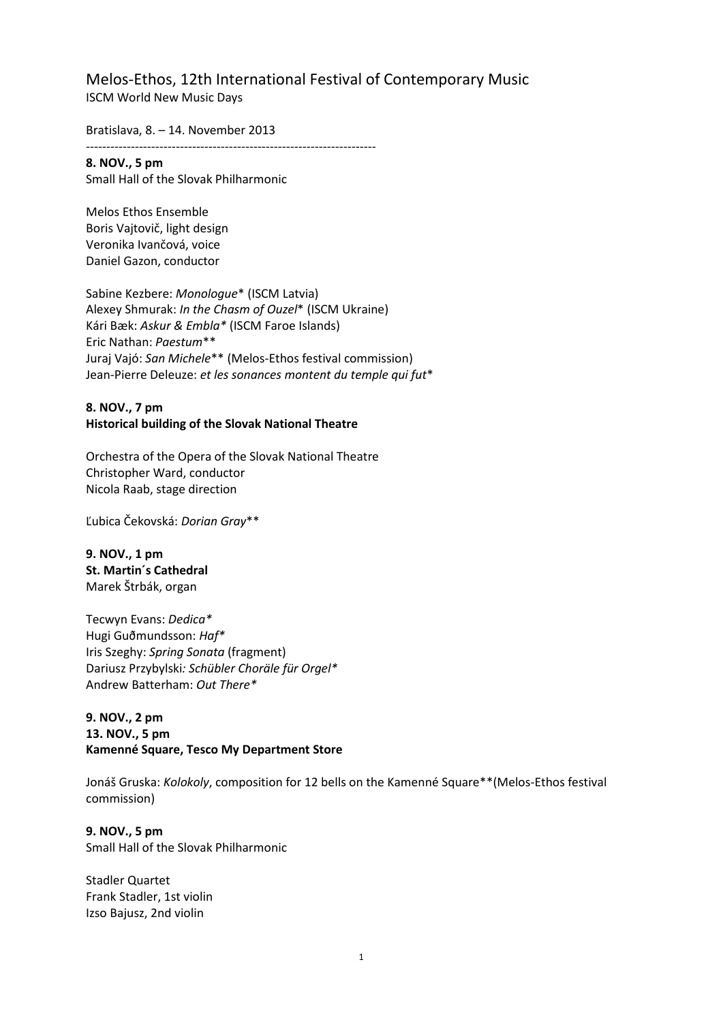Melos-Ethos, 12th International Festival of Contemporary Music ISCM World New Music Days

Bratislava, 8. – 14. November 2013

**8. NOV., 5 pm** Small Hall of the Slovak Philharmonic

-----------------------------------------------------------------------

Melos Ethos Ensemble Boris Vajtovič, light design Veronika Ivančová, voice Daniel Gazon, conductor

Sabine Kezbere: *Monologue*\* (ISCM Latvia) Alexey Shmurak: *In the Chasm of Ouzel*\* (ISCM Ukraine) Kári Bæk: *Askur & Embla\** (ISCM Faroe Islands) Eric Nathan: *Paestum*\*\* Juraj Vajó: *San Michele*\*\* (Melos-Ethos festival commission) Jean-Pierre Deleuze: *et les sonances montent du temple qui fut*\*

#### **8. NOV., 7 pm Historical building of the Slovak National Theatre**

Orchestra of the Opera of the Slovak National Theatre Christopher Ward, conductor Nicola Raab, stage direction

Ľubica Čekovská: *Dorian Gray*\*\*

**9. NOV., 1 pm St. Martin´s Cathedral** Marek Štrbák, organ

Tecwyn Evans: *Dedica\** Hugi Guðmundsson: *Haf\** Iris Szeghy: *Spring Sonata* (fragment) Dariusz Przybylski*: Schübler Choräle für Orgel\** Andrew Batterham: *Out There\**

## **9. NOV., 2 pm 13. NOV., 5 pm Kamenné Square, Tesco My Department Store**

Jonáš Gruska: *Kolokoly*, composition for 12 bells on the Kamenné Square\*\*(Melos-Ethos festival commission)

**9. NOV., 5 pm** Small Hall of the Slovak Philharmonic

Stadler Quartet Frank Stadler, 1st violin Izso Bajusz, 2nd violin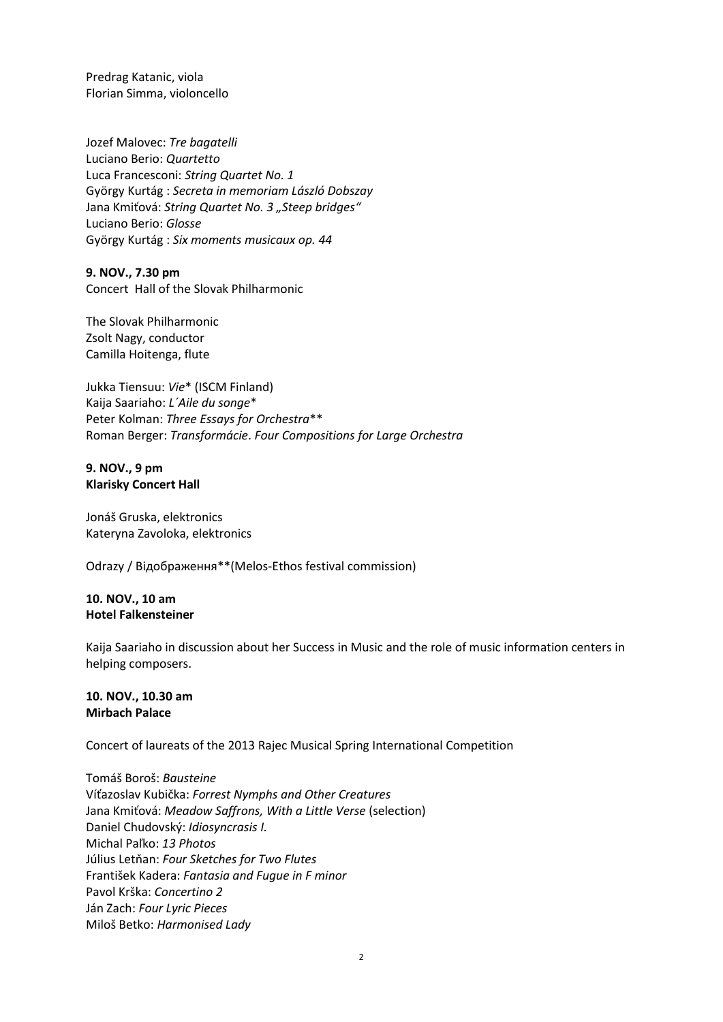Predrag Katanic, viola Florian Simma, violoncello

Jozef Malovec: *Tre bagatelli*  Luciano Berio: *Quartetto*  Luca Francesconi: *String Quartet No. 1*  György Kurtág : *Secreta in memoriam László Dobszay*  Jana Kmiťová: *String Quartet No. 3 "Steep bridges"* Luciano Berio: *Glosse*  György Kurtág : *Six moments musicaux op. 44* 

**9. NOV., 7.30 pm** Concert Hall of the Slovak Philharmonic

The Slovak Philharmonic Zsolt Nagy, conductor Camilla Hoitenga, flute

Jukka Tiensuu: *Vie*\* (ISCM Finland) Kaija Saariaho: *L´Aile du songe*\* Peter Kolman: *Three Essays for Orchestra*\*\* Roman Berger: *Transformácie*. *Four Compositions for Large Orchestra*

### **9. NOV., 9 pm Klarisky Concert Hall**

Jonáš Gruska, elektronics Kateryna Zavoloka, elektronics

Odrazy / Відображення\*\*(Melos-Ethos festival commission)

## **10. NOV., 10 am Hotel Falkensteiner**

Kaija Saariaho in discussion about her Success in Music and the role of music information centers in helping composers.

### **10. NOV., 10.30 am Mirbach Palace**

Concert of laureats of the 2013 Rajec Musical Spring International Competition

Tomáš Boroš: *Bausteine*  Víťazoslav Kubička: *Forrest Nymphs and Other Creatures* Jana Kmiťová: *Meadow Saffrons, With a Little Verse* (selection) Daniel Chudovský: *Idiosyncrasis I.* Michal Paľko: *13 Photos* Július Letňan: *Four Sketches for Two Flutes* František Kadera: *Fantasia and Fugue in F minor* Pavol Krška: *Concertino 2* Ján Zach: *Four Lyric Pieces* Miloš Betko: *Harmonised Lady*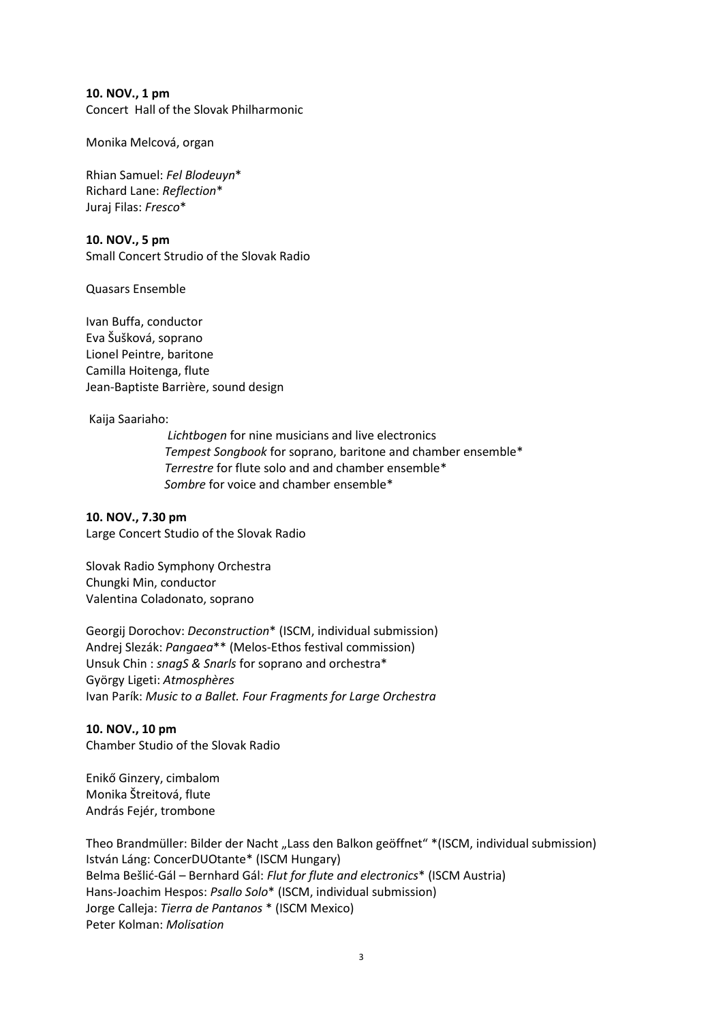**10. NOV., 1 pm**

Concert Hall of the Slovak Philharmonic

Monika Melcová, organ

Rhian Samuel: *Fel Blodeuyn*\* Richard Lane: *Reflection*\* Juraj Filas: *Fresco*\*

**10. NOV., 5 pm** Small Concert Strudio of the Slovak Radio

Quasars Ensemble

Ivan Buffa, conductor Eva Šušková, soprano Lionel Peintre, baritone Camilla Hoitenga, flute Jean-Baptiste Barrière, sound design

Kaija Saariaho:

 *Lichtbogen* for nine musicians and live electronics  *Tempest Songbook* for soprano, baritone and chamber ensemble\*  *Terrestre* for flute solo and and chamber ensemble\*  *Sombre* for voice and chamber ensemble\*

**10. NOV., 7.30 pm** Large Concert Studio of the Slovak Radio

Slovak Radio Symphony Orchestra Chungki Min, conductor Valentina Coladonato, soprano

Georgij Dorochov: *Deconstruction*\* (ISCM, individual submission) Andrej Slezák: *Pangaea*\*\* (Melos-Ethos festival commission) Unsuk Chin : *snagS & Snarls* for soprano and orchestra\* György Ligeti: *Atmosphères* Ivan Parík: *Music to a Ballet. Four Fragments for Large Orchestra*

**10. NOV., 10 pm** Chamber Studio of the Slovak Radio

Enikő Ginzery, cimbalom Monika Štreitová, flute András Fejér, trombone

Theo Brandmüller: Bilder der Nacht "Lass den Balkon geöffnet" \* (ISCM, individual submission) István Láng: ConcerDUOtante\* (ISCM Hungary) Belma Bešlić-Gál – Bernhard Gál: *Flut for flute and electronics*\* (ISCM Austria) Hans-Joachim Hespos: *Psallo Solo*\* (ISCM, individual submission) Jorge Calleja: *Tierra de Pantanos* \* (ISCM Mexico) Peter Kolman: *Molisation*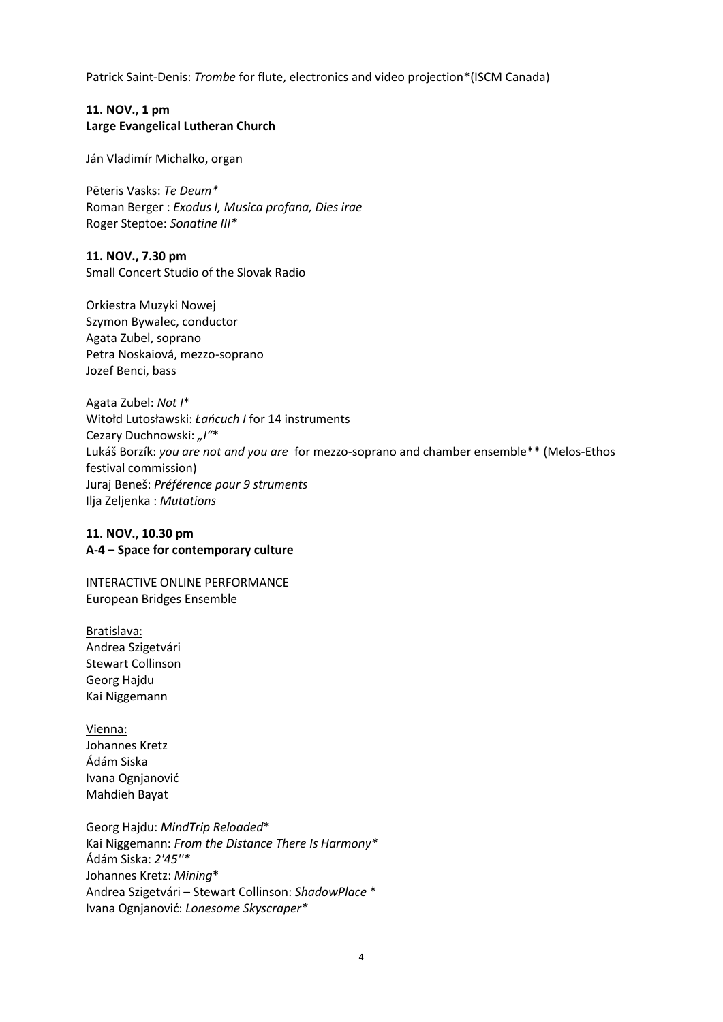Patrick Saint-Denis: *Trombe* for flute, electronics and video projection\*(ISCM Canada)

### **11. NOV., 1 pm Large Evangelical Lutheran Church**

Ján Vladimír Michalko, organ

Pēteris Vasks: *Te Deum\** Roman Berger : *Exodus I, Musica profana, Dies irae*  Roger Steptoe: *Sonatine III\**

**11. NOV., 7.30 pm** Small Concert Studio of the Slovak Radio

Orkiestra Muzyki Nowej Szymon Bywalec, conductor Agata Zubel, soprano Petra Noskaiová, mezzo-soprano Jozef Benci, bass

Agata Zubel: *Not I*\* Witołd Lutosławski: *Łańcuch I* for 14 instruments Cezary Duchnowski: *"I"*\* Lukáš Borzík: *you are not and you are* for mezzo-soprano and chamber ensemble\*\* (Melos-Ethos festival commission) Juraj Beneš: *Préférence pour 9 struments* Ilja Zeljenka : *Mutations*

#### **11. NOV., 10.30 pm A-4 – Space for contemporary culture**

INTERACTIVE ONLINE PERFORMANCE European Bridges Ensemble

Bratislava: Andrea Szigetvári Stewart Collinson Georg Hajdu Kai Niggemann

Vienna: Johannes Kretz Ádám Siska Ivana Ognjanović Mahdieh Bayat

Georg Hajdu: *MindTrip Reloaded*\* Kai Niggemann: *From the Distance There Is Harmony\** Ádám Siska: *2'45''\** Johannes Kretz: *Mining*\* Andrea Szigetvári – Stewart Collinson: *ShadowPlace* \* Ivana Ognjanović: *Lonesome Skyscraper\**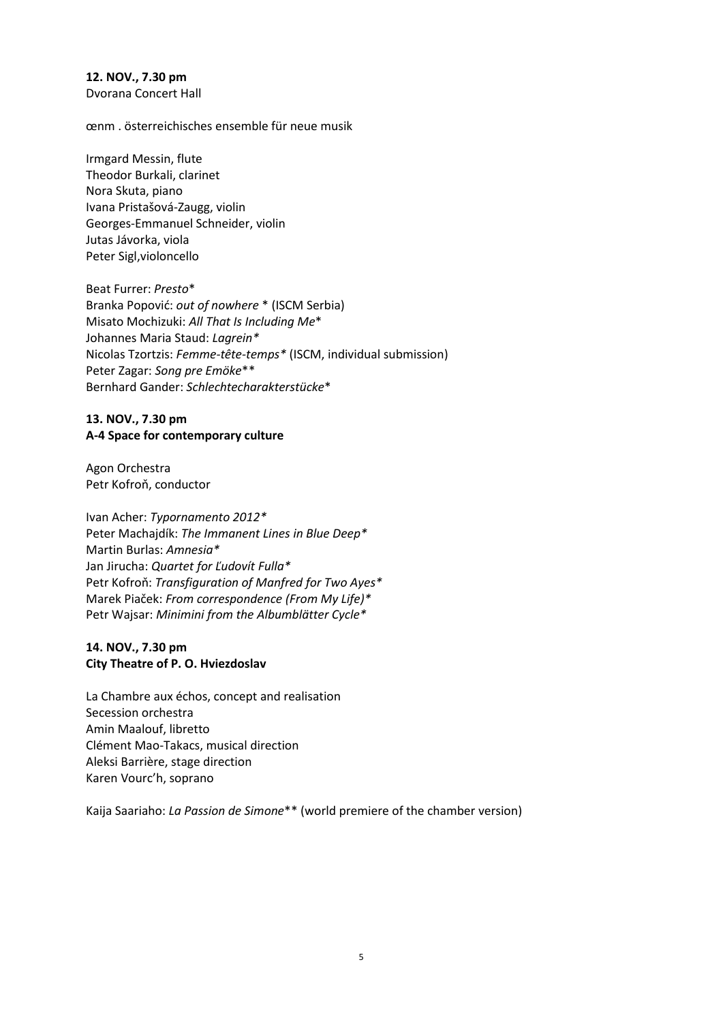**12. NOV., 7.30 pm** Dvorana Concert Hall

œnm . österreichisches ensemble für neue musik

Irmgard Messin, flute Theodor Burkali, clarinet Nora Skuta, piano Ivana Pristašová-Zaugg, violin Georges-Emmanuel Schneider, violin Jutas Jávorka, viola Peter Sigl,violoncello

Beat Furrer: *Presto*\* Branka Popović: *out of nowhere* \* (ISCM Serbia) Misato Mochizuki: *All That Is Including Me*\* Johannes Maria Staud: *Lagrein\** Nicolas Tzortzis: *Femme-tête-temps\** (ISCM, individual submission) Peter Zagar: *Song pre Emöke*\*\* Bernhard Gander: *Schlechtecharakterstücke*\*

#### **13. NOV., 7.30 pm A-4 Space for contemporary culture**

Agon Orchestra Petr Kofroň, conductor

Ivan Acher: *Typornamento 2012\** Peter Machajdík: *The Immanent Lines in Blue Deep\** Martin Burlas: *Amnesia\** Jan Jirucha: *Quartet for Ľudovít Fulla\** Petr Kofroň: *Transfiguration of Manfred for Two Ayes\** Marek Piaček: *From correspondence (From My Life)\** Petr Wajsar: *Minimini from the Albumblätter Cycle\**

# **14. NOV., 7.30 pm City Theatre of P. O. Hviezdoslav**

La Chambre aux échos, concept and realisation Secession orchestra Amin Maalouf, libretto Clément Mao-Takacs, musical direction Aleksi Barrière, stage direction Karen Vourc'h, soprano

Kaija Saariaho: *La Passion de Simone*\*\* (world premiere of the chamber version)